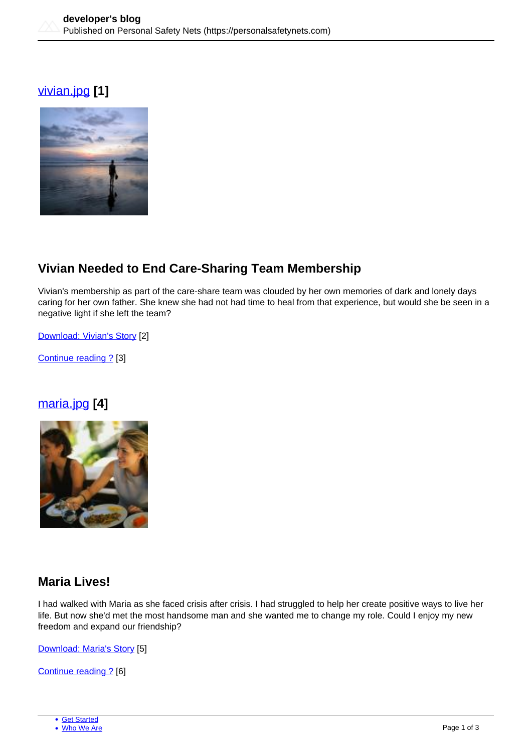## [vivian.jpg](https://personalsafetynets.com/file/562) **[1]**



# **Vivian Needed to End Care-Sharing Team Membership**

Vivian's membership as part of the care-share team was clouded by her own memories of dark and lonely days caring for her own father. She knew she had not had time to heal from that experience, but would she be seen in a negative light if she left the team?

[Download: Vivian's Story](https://personalsafetynets.com/sites/default/files/pages/vivian.pdf) [2]

[Continue reading ?](https://personalsafetynets.com/content/vivian) [3]

## [maria.jpg](https://personalsafetynets.com/file/560) **[4]**



## **Maria Lives!**

I had walked with Maria as she faced crisis after crisis. I had struggled to help her create positive ways to live her life. But now she'd met the most handsome man and she wanted me to change my role. Could I enjoy my new freedom and expand our friendship?

[Download: Maria's Story](https://personalsafetynets.com/sites/default/files/pages/maria_lives.pdf) [5]

[Continue reading ?](https://personalsafetynets.com/content/maria) [6]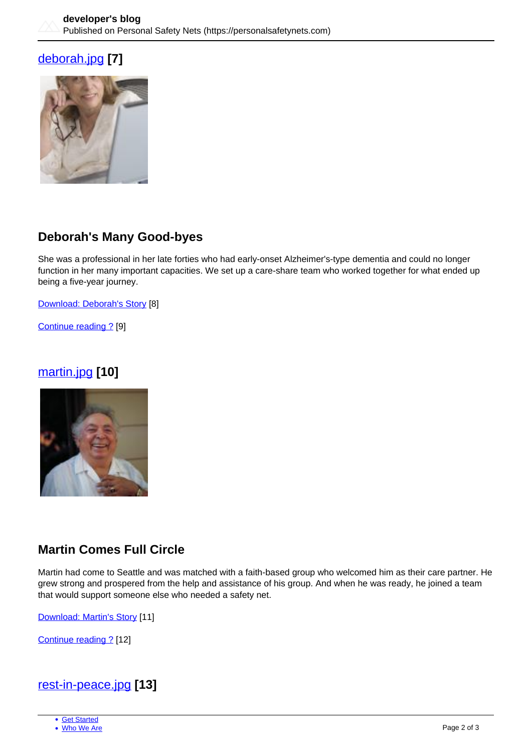### [deborah.jpg](https://personalsafetynets.com/file/558) **[7]**



## **Deborah's Many Good-byes**

She was a professional in her late forties who had early-onset Alzheimer's-type dementia and could no longer function in her many important capacities. We set up a care-share team who worked together for what ended up being a five-year journey.

[Download: Deborah's Story](https://personalsafetynets.com/sites/default/files/pages/deborah.pdf) [8]

[Continue reading ?](https://personalsafetynets.com/content/deborah) [9]

### [martin.jpg](https://personalsafetynets.com/file/557) **[10]**



## **Martin Comes Full Circle**

Martin had come to Seattle and was matched with a faith-based group who welcomed him as their care partner. He grew strong and prospered from the help and assistance of his group. And when he was ready, he joined a team that would support someone else who needed a safety net.

[Download: Martin's Story](https://personalsafetynets.com/sites/default/files/pages/martin.pdf) [11]

[Continue reading ?](https://personalsafetynets.com/content/martin) [12]

## [rest-in-peace.jpg](https://personalsafetynets.com/file/550) **[13]**